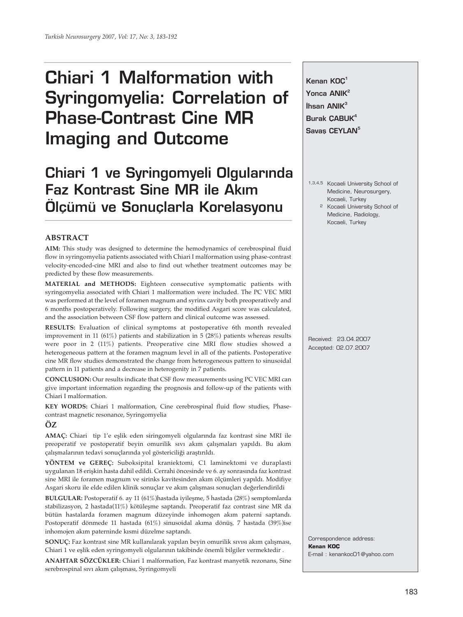# **Chiari 1 Malformation with Syringomyelia: Correlation of Phase-Contrast Cine MR Imaging and Outcome**

# **Chiari 1 ve Syringomyeli Olgularında Faz Kontrast Sine MR ile Akim Ölçümü ve Sonuçlarla Korelasyonu**

# **ABSTRACT**

**AIM:** This study was designed to determine the hemodynamics of cerebrospinal fluid flow in syringomyelia patients associated with Chiari I malformation using phase-contrast velocity-encoded-cine MRI and also to find out whether treatment outcomes may be predicted by these flow measurements.

**MATERIAL and METHODS:** Eighteen consecutive symptomatic patients with syringomyelia associated with Chiari 1 malformation were included. The PC VEC MRI was performed at the level of foramen magnum and syrinx cavity both preoperatively and 6 months postoperatively. Following surgery, the modified Asgari score was calculated, and the association between CSF flow pattern and clinical outcome was assessed.

**RESULTS:** Evaluation of clinical symptoms at postoperative 6th month revealed improvement in 11 (61%) patients and stabilization in 5 (28%) patients whereas results were poor in 2 (11%) patients. Preoperative cine MRI flow studies showed a heterogeneous pattern at the foramen magnum level in all of the patients. Postoperative cine MR flow studies demonstrated the change from heterogeneous pattern to sinusoidal pattern in 11 patients and a decrease in heterogenity in 7 patients.

**CONCLUSION:** Our results indicate that CSF flow measurements using PC VEC MRI can give important information regarding the prognosis and follow-up of the patients with Chiari I malformation.

**KEY WORDS:** Chiari 1 malformation, Cine cerebrospinal fluid flow studies, Phasecontrast magnetic resonance, Syringomyelia

**ÖZ**

**AMAÇ:** Chiari tip 1'e eşlik eden siringomyeli olgularında faz kontrast sine MRI ile preoperatif ve postoperatif beyin omurilik sıvı akım çalışmaları yapıldı. Bu akım çalışmalarının tedavi sonuçlarında yol göstericiliği araştırıldı.

**YÖNTEM ve GEREÇ:** Suboksipital kraniektomi, C1 laminektomi ve duraplasti uygulanan 18 erişkin hasta dahil edildi. Cerrahi öncesinde ve 6. ay sonrasında faz kontrast sine MRI ile foramen magnum ve sirinks kavitesinden akım ölçümleri yapıldı. Modifiye Asgari skoru ile elde edilen klinik sonuçlar ve akım çalışması sonuçları değerlendirildi

**BULGULAR:** Postoperatif 6. ay 11 (61%)hastada iyileşme, 5 hastada (28%) semptomlarda stabilizasyon, 2 hastada(11%) kötüleşme saptandı. Preoperatif faz contrast sine MR da bütün hastalarda foramen magnum düzeyinde inhomogen akım paterni saptandı. Postoperatif dönmede 11 hastada (61%) sinusoidal akıma dönüş, 7 hastada (39%)ise inhomojen akım paterninde kısmi düzelme saptandı.

**SONUÇ:** Faz kontrast sine MR kullanılarak yapılan beyin omurilik sıvısı akım çalışması, Chiari 1 ve eşlik eden syringomyeli olgularının takibinde önemli bilgiler vermektedir .

**ANAHTAR SÖZCÜKLER:** Chiari 1 malformation, Faz kontrast manyetik rezonans, Sine serebrospinal sıvı akım çalışması, Syringomyeli

**Kenan KOÇ<sup>1</sup>** Yonca ANIK<sup>2</sup> **‹hsan ANIK3 Burak ÇABUK<sup>4</sup>** Savas CEYLAN<sup>5</sup>

- 1,3,4,5 Kocaeli University School of Medicine, Neurosurgery, Kocaeli, Turkey
	- 2 Kocaeli University School of Medicine, Radiology, Kocaeli, Turkey

Received: 23.04.2007 Accepted: 02.07.2007

Correspondence address: **Kenan KOÇ** E-mail : kenankoc01@yahoo.com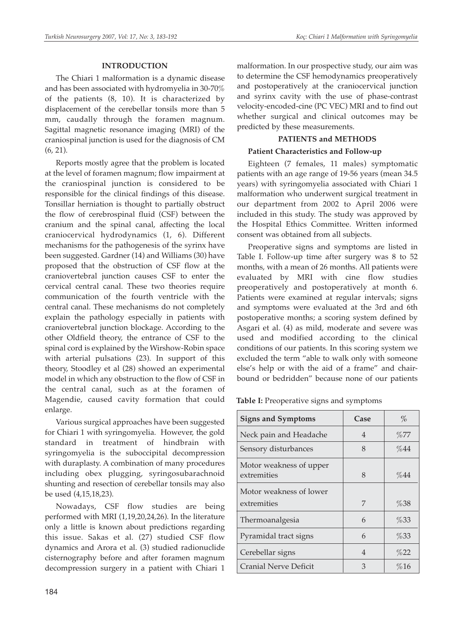# **INTRODUCTION**

The Chiari 1 malformation is a dynamic disease and has been associated with hydromyelia in 30-70% of the patients (8, 10). It is characterized by displacement of the cerebellar tonsils more than 5 mm, caudally through the foramen magnum. Sagittal magnetic resonance imaging (MRI) of the craniospinal junction is used for the diagnosis of CM (6, 21).

Reports mostly agree that the problem is located at the level of foramen magnum; flow impairment at the craniospinal junction is considered to be responsible for the clinical findings of this disease. Tonsillar herniation is thought to partially obstruct the flow of cerebrospinal fluid (CSF) between the cranium and the spinal canal, affecting the local craniocervical hydrodynamics (1, 6). Different mechanisms for the pathogenesis of the syrinx have been suggested. Gardner (14) and Williams (30) have proposed that the obstruction of CSF flow at the craniovertebral junction causes CSF to enter the cervical central canal. These two theories require communication of the fourth ventricle with the central canal. These mechanisms do not completely explain the pathology especially in patients with craniovertebral junction blockage. According to the other Oldfield theory, the entrance of CSF to the spinal cord is explained by the Wirshow-Robin space with arterial pulsations (23). In support of this theory, Stoodley et al (28) showed an experimental model in which any obstruction to the flow of CSF in the central canal, such as at the foramen of Magendie, caused cavity formation that could enlarge.

Various surgical approaches have been suggested for Chiari 1 with syringomyelia. However, the gold standard in treatment of hindbrain with syringomyelia is the suboccipital decompression with duraplasty. A combination of many procedures including obex plugging, syringosubarachnoid shunting and resection of cerebellar tonsils may also be used (4,15,18,23).

Nowadays, CSF flow studies are being performed with MRI (1,19,20,24,26). In the literature only a little is known about predictions regarding this issue. Sakas et al. (27) studied CSF flow dynamics and Arora et al. (3) studied radionuclide cisternography before and after foramen magnum decompression surgery in a patient with Chiari 1 malformation. In our prospective study, our aim was to determine the CSF hemodynamics preoperatively and postoperatively at the craniocervical junction and syrinx cavity with the use of phase-contrast velocity-encoded-cine (PC VEC) MRI and to find out whether surgical and clinical outcomes may be predicted by these measurements.

# **PATIENTS and METHODS**

## **Patient Characteristics and Follow-up**

Eighteen (7 females, 11 males) symptomatic patients with an age range of 19-56 years (mean 34.5 years) with syringomyelia associated with Chiari 1 malformation who underwent surgical treatment in our department from 2002 to April 2006 were included in this study. The study was approved by the Hospital Ethics Committee. Written informed consent was obtained from all subjects.

Preoperative signs and symptoms are listed in Table I. Follow-up time after surgery was 8 to 52 months, with a mean of 26 months. All patients were evaluated by MRI with cine flow studies preoperatively and postoperatively at month 6. Patients were examined at regular intervals; signs and symptoms were evaluated at the 3rd and 6th postoperative months; a scoring system defined by Asgari et al. (4) as mild, moderate and severe was used and modified according to the clinical conditions of our patients. In this scoring system we excluded the term "able to walk only with someone else's help or with the aid of a frame" and chairbound or bedridden" because none of our patients

**Table I:** Preoperative signs and symptoms

| <b>Signs and Symptoms</b>              | Case | $\%$ |
|----------------------------------------|------|------|
| Neck pain and Headache                 | 4    | %77  |
| Sensory disturbances                   | 8    | %44  |
| Motor weakness of upper<br>extremities | 8    | %44  |
| Motor weakness of lower                |      |      |
| extremities                            | 7    | %38  |
| Thermoanalgesia                        | 6    | %33  |
| Pyramidal tract signs                  | 6    | %33  |
| Cerebellar signs                       | 4    | %22  |
| Cranial Nerve Deficit                  | 3    | %16  |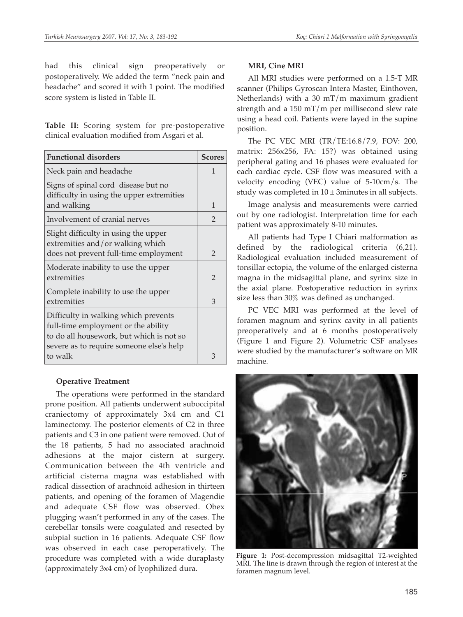had this clinical sign preoperatively or postoperatively. We added the term "neck pain and headache" and scored it with 1 point. The modified score system is listed in Table II.

**Table II:** Scoring system for pre-postoperative clinical evaluation modified from Asgari et al.

| <b>Functional disorders</b>                                                          | <b>Scores</b>  |
|--------------------------------------------------------------------------------------|----------------|
| Neck pain and headache                                                               | 1              |
| Signs of spinal cord disease but no<br>difficulty in using the upper extremities     |                |
| and walking                                                                          | 1              |
| Involvement of cranial nerves                                                        | $\mathcal{P}$  |
| Slight difficulty in using the upper<br>extremities and/or walking which             |                |
| does not prevent full-time employment                                                | $\mathcal{P}$  |
| Moderate inability to use the upper                                                  |                |
| extremities                                                                          | $\overline{2}$ |
| Complete inability to use the upper<br>extremities                                   | 3              |
|                                                                                      |                |
| Difficulty in walking which prevents<br>full-time employment or the ability          |                |
| to do all housework, but which is not so<br>severe as to require someone else's help |                |
| to walk                                                                              | 3              |

### **Operative Treatment**

The operations were performed in the standard prone position. All patients underwent suboccipital craniectomy of approximately 3x4 cm and C1 laminectomy. The posterior elements of C2 in three patients and C3 in one patient were removed. Out of the 18 patients, 5 had no associated arachnoid adhesions at the major cistern at surgery. Communication between the 4th ventricle and artificial cisterna magna was established with radical dissection of arachnoid adhesion in thirteen patients, and opening of the foramen of Magendie and adequate CSF flow was observed. Obex plugging wasn't performed in any of the cases. The cerebellar tonsils were coagulated and resected by subpial suction in 16 patients. Adequate CSF flow was observed in each case peroperatively. The procedure was completed with a wide duraplasty (approximately 3x4 cm) of lyophilized dura.

# **MRI, Cine MRI**

All MRI studies were performed on a 1.5-T MR scanner (Philips Gyroscan Intera Master, Einthoven, Netherlands) with a 30 mT/m maximum gradient strength and a 150 mT/m per millisecond slew rate using a head coil. Patients were layed in the supine position.

The PC VEC MRI (TR/TE:16.8/7.9, FOV: 200, matrix: 256x256, FA: 15?) was obtained using peripheral gating and 16 phases were evaluated for each cardiac cycle. CSF flow was measured with a velocity encoding (VEC) value of 5-10cm/s. The study was completed in  $10 \pm 3$ minutes in all subjects.

Image analysis and measurements were carried out by one radiologist. Interpretation time for each patient was approximately 8-10 minutes.

All patients had Type I Chiari malformation as defined by the radiological criteria (6,21). Radiological evaluation included measurement of tonsillar ectopia, the volume of the enlarged cisterna magna in the midsagittal plane, and syrinx size in the axial plane. Postoperative reduction in syrinx size less than 30% was defined as unchanged.

PC VEC MRI was performed at the level of foramen magnum and syrinx cavity in all patients preoperatively and at 6 months postoperatively (Figure 1 and Figure 2). Volumetric CSF analyses were studied by the manufacturer's software on MR machine.



**Figure 1:** Post-decompression midsagittal T2-weighted MRI. The line is drawn through the region of interest at the foramen magnum level.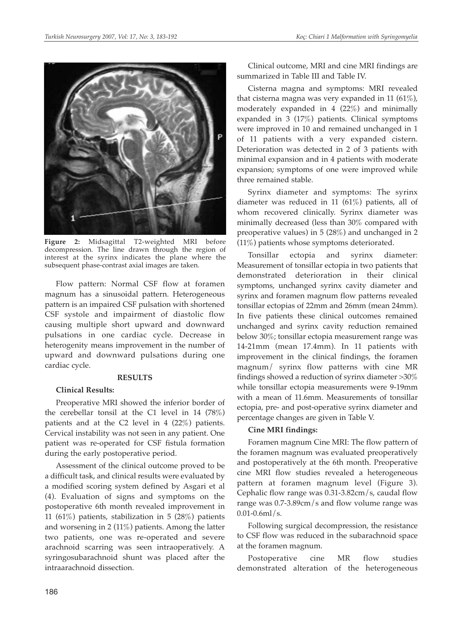

**Figure 2:** Midsagittal T2-weighted MRI before decompression. The line drawn through the region of interest at the syrinx indicates the plane where the subsequent phase-contrast axial images are taken.

Flow pattern: Normal CSF flow at foramen magnum has a sinusoidal pattern. Heterogeneous pattern is an impaired CSF pulsation with shortened CSF systole and impairment of diastolic flow causing multiple short upward and downward pulsations in one cardiac cycle. Decrease in heterogenity means improvement in the number of upward and downward pulsations during one cardiac cycle.

#### **RESULTS**

#### **Clinical Results:**

Preoperative MRI showed the inferior border of the cerebellar tonsil at the C1 level in 14 (78%) patients and at the C2 level in 4 (22%) patients. Cervical instability was not seen in any patient. One patient was re-operated for CSF fistula formation during the early postoperative period.

Assessment of the clinical outcome proved to be a difficult task, and clinical results were evaluated by a modified scoring system defined by Asgari et al (4). Evaluation of signs and symptoms on the postoperative 6th month revealed improvement in 11 (61%) patients, stabilization in 5 (28%) patients and worsening in 2 (11%) patients. Among the latter two patients, one was re-operated and severe arachnoid scarring was seen intraoperatively. A syringosubarachnoid shunt was placed after the intraarachnoid dissection.

Clinical outcome, MRI and cine MRI findings are summarized in Table III and Table IV.

Cisterna magna and symptoms: MRI revealed that cisterna magna was very expanded in 11 (61%), moderately expanded in 4 (22%) and minimally expanded in 3 (17%) patients. Clinical symptoms were improved in 10 and remained unchanged in 1 of 11 patients with a very expanded cistern. Deterioration was detected in 2 of 3 patients with minimal expansion and in 4 patients with moderate expansion; symptoms of one were improved while three remained stable.

Syrinx diameter and symptoms: The syrinx diameter was reduced in 11 (61%) patients, all of whom recovered clinically. Syrinx diameter was minimally decreased (less than 30% compared with preoperative values) in 5 (28%) and unchanged in 2 (11%) patients whose symptoms deteriorated.

Tonsillar ectopia and syrinx diameter: Measurement of tonsillar ectopia in two patients that demonstrated deterioration in their clinical symptoms, unchanged syrinx cavity diameter and syrinx and foramen magnum flow patterns revealed tonsillar ectopias of 22mm and 26mm (mean 24mm). In five patients these clinical outcomes remained unchanged and syrinx cavity reduction remained below 30%; tonsillar ectopia measurement range was 14-21mm (mean 17.4mm). In 11 patients with improvement in the clinical findings, the foramen magnum/ syrinx flow patterns with cine MR findings showed a reduction of syrinx diameter >30% while tonsillar ectopia measurements were 9-19mm with a mean of 11.6mm. Measurements of tonsillar ectopia, pre- and post-operative syrinx diameter and percentage changes are given in Table V.

#### **Cine MRI findings:**

Foramen magnum Cine MRI: The flow pattern of the foramen magnum was evaluated preoperatively and postoperatively at the 6th month. Preoperative cine MRI flow studies revealed a heterogeneous pattern at foramen magnum level (Figure 3). Cephalic flow range was 0.31-3.82cm/s, caudal flow range was 0.7-3.89cm/s and flow volume range was  $0.01 - 0.6$ ml/s.

Following surgical decompression, the resistance to CSF flow was reduced in the subarachnoid space at the foramen magnum.

Postoperative cine MR flow studies demonstrated alteration of the heterogeneous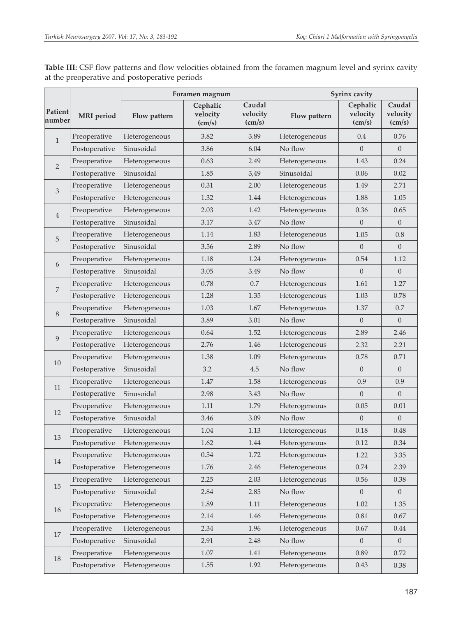|                                                       |                   | Foramen magnum        |                                         |                                       | Syrinx cavity  |                                         |                                       |  |
|-------------------------------------------------------|-------------------|-----------------------|-----------------------------------------|---------------------------------------|----------------|-----------------------------------------|---------------------------------------|--|
| Patient<br>number                                     | <b>MRI</b> period | Flow pattern          | Cephalic<br>velocity<br>$\text{(cm/s)}$ | Caudal<br>velocity<br>$\text{(cm/s)}$ | Flow pattern   | Cephalic<br>velocity<br>$\text{(cm/s)}$ | Caudal<br>velocity<br>$\text{(cm/s)}$ |  |
| $\mathbf{1}$                                          | Preoperative      | 3.82<br>Heterogeneous |                                         | 3.89                                  | Heterogeneous  | 0.4                                     | 0.76                                  |  |
|                                                       | Postoperative     | Sinusoidal            | 3.86                                    | 6.04                                  | No flow        | $\Omega$                                | $\overline{0}$                        |  |
| $\overline{2}$                                        | Preoperative      | Heterogeneous         | 0.63                                    | 2.49                                  | Heterogeneous  | 1.43                                    | 0.24                                  |  |
|                                                       | Postoperative     | Sinusoidal            | 1.85                                    | 3,49                                  | Sinusoidal     | 0.06                                    | 0.02                                  |  |
| 3                                                     | Preoperative      | Heterogeneous         | 0.31                                    | 2.00                                  | Heterogeneous  | 1.49                                    | 2.71                                  |  |
|                                                       | Postoperative     | Heterogeneous         | 1.32                                    | 1.44                                  | Heterogeneous  | 1.88                                    | 1.05                                  |  |
|                                                       | Preoperative      | Heterogeneous         | 2.03                                    | 1.42                                  | Heterogeneous  | 0.36                                    | 0.65                                  |  |
| $\overline{4}$<br>Sinusoidal<br>Postoperative<br>3.17 |                   | 3.47                  | No flow                                 | $\Omega$                              | $\overline{0}$ |                                         |                                       |  |
| 5                                                     | Preoperative      | Heterogeneous         | 1.14                                    | 1.83                                  | Heterogeneous  | 1.05                                    | 0.8                                   |  |
|                                                       | Postoperative     | Sinusoidal            | 3.56                                    | 2.89                                  | No flow        | $\overline{0}$                          | $\boldsymbol{0}$                      |  |
| 6                                                     | Preoperative      | Heterogeneous         | 1.18                                    | 1.24                                  | Heterogeneous  | 0.54                                    | 1.12                                  |  |
|                                                       | Postoperative     | Sinusoidal            | 3.05                                    | 3.49                                  | No flow        | $\Omega$                                | $\Omega$                              |  |
| $\overline{7}$                                        | Preoperative      | Heterogeneous         | 0.78                                    | 0.7                                   | Heterogeneous  | 1.61                                    | 1.27                                  |  |
|                                                       | Postoperative     | Heterogeneous         | 1.28                                    | 1.35                                  | Heterogeneous  | 1.03                                    | 0.78                                  |  |
| $8\,$                                                 | Preoperative      | Heterogeneous         | 1.03                                    | 1.67                                  | Heterogeneous  | 1.37                                    | 0.7                                   |  |
|                                                       | Postoperative     | Sinusoidal            | 3.89                                    | 3.01                                  | No flow        | $\overline{0}$                          | $\overline{0}$                        |  |
| Preoperative                                          |                   | Heterogeneous         | 0.64                                    | 1.52                                  | Heterogeneous  | 2.89                                    | 2.46                                  |  |
| 9                                                     | Postoperative     | Heterogeneous         | 2.76                                    | 1.46                                  | Heterogeneous  | 2.32                                    | 2.21                                  |  |
| Preoperative<br>Heterogeneous<br>1.38<br>10           |                   | 1.09                  | Heterogeneous                           | 0.78                                  | 0.71           |                                         |                                       |  |
|                                                       | Postoperative     | Sinusoidal            | 3.2                                     | 4.5                                   | No flow        | $\Omega$                                | $\mathbf{0}$                          |  |
|                                                       | Preoperative      | Heterogeneous         | 1.47                                    | 1.58                                  | Heterogeneous  | 0.9                                     | 0.9                                   |  |
| 11                                                    | Postoperative     | Sinusoidal            | 2.98                                    | 3.43                                  | No flow        | $\Omega$                                | $\mathbf{0}$                          |  |
|                                                       | Preoperative      | Heterogeneous         | 1.11                                    | 1.79                                  | Heterogeneous  | 0.05                                    | 0.01                                  |  |
| 12                                                    | Postoperative     | Sinusoidal            | 3.46                                    | 3.09                                  | No flow        | $\overline{0}$                          | $\overline{0}$                        |  |
|                                                       | Preoperative      | Heterogeneous         | 1.04                                    | 1.13                                  | Heterogeneous  | 0.18                                    | 0.48                                  |  |
| 13                                                    | Postoperative     | Heterogeneous         | 1.62                                    | 1.44                                  | Heterogeneous  | 0.12                                    | 0.34                                  |  |
|                                                       | Preoperative      | Heterogeneous         | $0.54\,$                                | 1.72                                  | Heterogeneous  | 1.22                                    | 3.35                                  |  |
| 14                                                    | Postoperative     | Heterogeneous         | 1.76                                    | 2.46                                  | Heterogeneous  | $0.74\,$                                | 2.39                                  |  |
|                                                       | Preoperative      | Heterogeneous         | 2.25                                    | 2.03                                  | Heterogeneous  | 0.56                                    | 0.38                                  |  |
| 15                                                    | Postoperative     | Sinusoidal            | 2.84                                    | 2.85                                  | No flow        | $\mathbf{0}$                            | $\overline{0}$                        |  |
| 16                                                    | Preoperative      | Heterogeneous         | 1.89                                    | 1.11                                  | Heterogeneous  | $1.02\,$                                | 1.35                                  |  |
|                                                       | Postoperative     | Heterogeneous         | 2.14                                    | 1.46                                  | Heterogeneous  | 0.81                                    | 0.67                                  |  |
|                                                       | Preoperative      | Heterogeneous         | 2.34                                    | 1.96                                  | Heterogeneous  | 0.67                                    | 0.44                                  |  |
| 17                                                    | Postoperative     | Sinusoidal            | 2.91                                    | 2.48                                  | No flow        | $\mathbf{0}$                            | $\boldsymbol{0}$                      |  |
|                                                       | Preoperative      | Heterogeneous         | 1.07                                    | 1.41                                  | Heterogeneous  | 0.89                                    | 0.72                                  |  |
| 18                                                    | Postoperative     | Heterogeneous         | 1.55                                    | 1.92                                  | Heterogeneous  | 0.43                                    | 0.38                                  |  |

**Table III:** CSF flow patterns and flow velocities obtained from the foramen magnum level and syrinx cavity at the preoperative and postoperative periods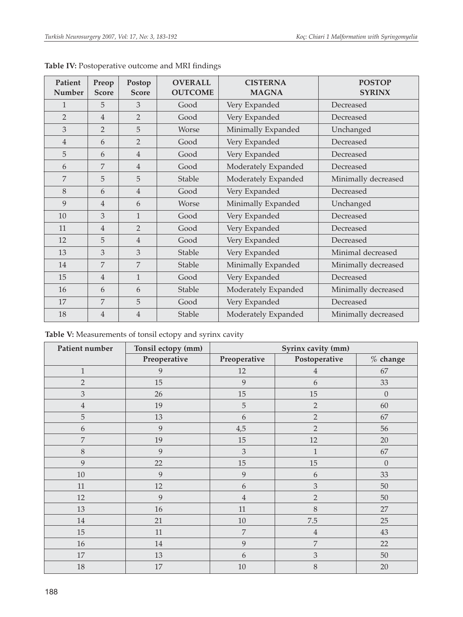| Patient<br>Number | Preop<br><b>Score</b> | Postop<br><b>Score</b> | <b>OVERALL</b><br><b>OUTCOME</b> | <b>CISTERNA</b><br><b>MAGNA</b> | <b>POSTOP</b><br><b>SYRINX</b> |
|-------------------|-----------------------|------------------------|----------------------------------|---------------------------------|--------------------------------|
| 1                 | 5                     | 3                      | Good                             | Very Expanded                   | Decreased                      |
| $\overline{2}$    | $\overline{4}$        | $\overline{2}$         | Good                             | Very Expanded                   | Decreased                      |
| 3                 | $\overline{2}$        | 5                      | <b>Worse</b>                     | Minimally Expanded              | Unchanged                      |
| 4                 | 6                     | $\overline{2}$         | Good                             | Very Expanded                   | Decreased                      |
| 5                 | 6                     | $\overline{4}$         | Good                             | Very Expanded                   | Decreased                      |
| 6                 | 7                     | $\overline{4}$         | Good                             | Moderately Expanded             | Decreased                      |
| 7                 | 5                     | 5                      | Stable                           | Moderately Expanded             | Minimally decreased            |
| 8                 | 6                     | $\overline{4}$         | Good                             | Very Expanded                   | Decreased                      |
| 9                 | $\overline{4}$        | 6                      | Worse                            | Minimally Expanded              | Unchanged                      |
| 10                | 3                     | $\mathbf{1}$           | Good                             | Very Expanded                   | Decreased                      |
| 11                | $\overline{4}$        | $\overline{2}$         | Good                             | Very Expanded                   | Decreased                      |
| 12                | 5                     | $\overline{4}$         | Good                             | Very Expanded                   | Decreased                      |
| 13                | 3                     | 3                      | Stable                           | Very Expanded                   | Minimal decreased              |
| 14                | 7                     | 7                      | Stable                           | Minimally Expanded              | Minimally decreased            |
| 15                | $\overline{4}$        | $\mathbf{1}$           | Good                             | Very Expanded                   | Decreased                      |
| 16                | 6                     | 6                      | <b>Stable</b>                    | Moderately Expanded             | Minimally decreased            |
| 17                | $\overline{7}$        | 5                      | Good                             | Very Expanded                   | Decreased                      |
| 18                | $\overline{4}$        | $\overline{4}$         | <b>Stable</b>                    | Moderately Expanded             | Minimally decreased            |

**Table IV:** Postoperative outcome and MRI findings

|  | Table V: Measurements of tonsil ectopy and syrinx cavity |  |  |  |
|--|----------------------------------------------------------|--|--|--|
|  |                                                          |  |  |  |

| Patient number   | Tonsil ectopy (mm) | Syrinx cavity (mm) |                |            |  |  |
|------------------|--------------------|--------------------|----------------|------------|--|--|
|                  | Preoperative       | Preoperative       | Postoperative  | $%$ change |  |  |
| $\mathbf{1}$     | 9                  | 12                 | $\overline{4}$ | 67         |  |  |
| $\overline{2}$   | 15                 | 9                  | 6              | 33         |  |  |
| $\mathfrak{Z}$   | 26                 | 15                 | $15\,$         | $\theta$   |  |  |
| $\overline{4}$   | 19                 | $\mathbf 5$        | $\overline{2}$ | 60         |  |  |
| $\mathbf 5$      | 13                 | 6                  | $\overline{2}$ | 67         |  |  |
| 6                | 9                  | 4,5                | $\overline{2}$ | 56         |  |  |
| $\boldsymbol{7}$ | 19                 | 15                 | 12             | $20\,$     |  |  |
| $8\,$            | $\overline{9}$     | $\mathfrak{Z}$     | $\mathbf{1}$   | 67         |  |  |
| 9                | 22                 | 15                 | 15             | $\Omega$   |  |  |
| $10\,$           | 9                  | 9                  | 6              | 33         |  |  |
| 11               | 12                 | 6                  | 3              | 50         |  |  |
| 12               | 9                  | $\overline{4}$     | $\overline{2}$ | 50         |  |  |
| 13               | 16                 | $11\,$             | 8              | 27         |  |  |
| 14               | 21                 | $10\,$             | $7.5\,$        | 25         |  |  |
| 15               | 11                 | $\boldsymbol{7}$   | $\,4\,$        | 43         |  |  |
| 16               | 14                 | $\overline{9}$     | 7              | 22         |  |  |
| 17               | 13                 | 6                  | 3              | $50\,$     |  |  |
| $18\,$           | $17\,$             | $10\,$             | 8              | 20         |  |  |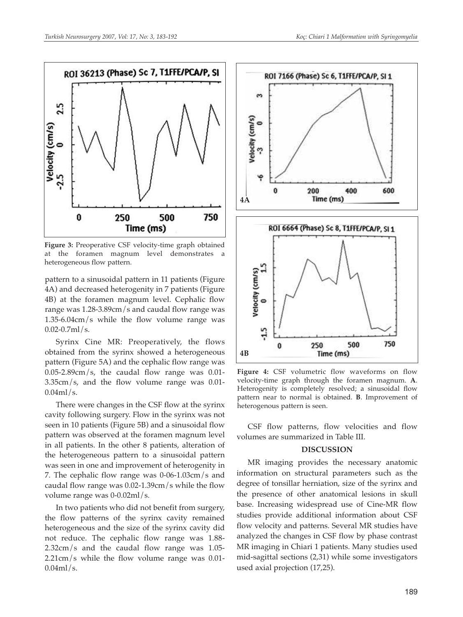

**Figure 3:** Preoperative CSF velocity-time graph obtained at the foramen magnum level demonstrates heterogeneous flow pattern.

pattern to a sinusoidal pattern in 11 patients (Figure 4A) and decreased heterogenity in 7 patients (Figure 4B) at the foramen magnum level. Cephalic flow range was 1.28-3.89cm/s and caudal flow range was 1.35-6.04cm/s while the flow volume range was  $0.02 - 0.7$ ml/s.

Syrinx Cine MR: Preoperatively, the flows obtained from the syrinx showed a heterogeneous pattern (Figure 5A) and the cephalic flow range was  $0.05$ -2.89cm/s, the caudal flow range was 0.01-3.35cm/s, and the flow volume range was 0.01-  $0.04$ ml/s.

There were changes in the CSF flow at the syrinx cavity following surgery. Flow in the syrinx was not seen in 10 patients (Figure 5B) and a sinusoidal flow pattern was observed at the foramen magnum level in all patients. In the other 8 patients, alteration of the heterogeneous pattern to a sinusoidal pattern was seen in one and improvement of heterogenity in 7. The cephalic flow range was 0-06-1.03cm/s and caudal flow range was 0.02-1.39cm/s while the flow volume range was 0-0.02ml/s.

In two patients who did not benefit from surgery, the flow patterns of the syrinx cavity remained heterogeneous and the size of the syrinx cavity did not reduce. The cephalic flow range was 1.88- 2.32cm/s and the caudal flow range was 1.05- 2.21cm/s while the flow volume range was 0.01-  $0.04$ ml/s.



**Figure 4:** CSF volumetric flow waveforms on flow velocity-time graph through the foramen magnum. **A**. Heterogenity is completely resolved; a sinusoidal flow pattern near to normal is obtained. **B**. Improvement of heterogenous pattern is seen.

CSF flow patterns, flow velocities and flow volumes are summarized in Table III.

#### **DISCUSSION**

MR imaging provides the necessary anatomic information on structural parameters such as the degree of tonsillar herniation, size of the syrinx and the presence of other anatomical lesions in skull base. Increasing widespread use of Cine-MR flow studies provide additional information about CSF flow velocity and patterns. Several MR studies have analyzed the changes in CSF flow by phase contrast MR imaging in Chiari 1 patients. Many studies used mid-sagittal sections (2,31) while some investigators used axial projection (17,25).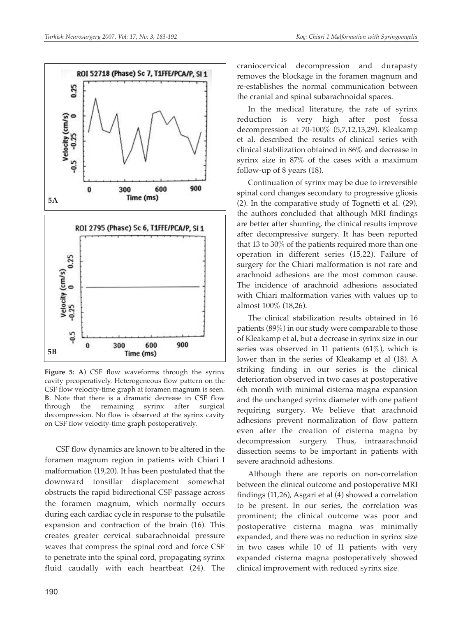

**Figure 5: A**) CSF flow waveforms through the syrinx cavity preoperatively. Heterogeneous flow pattern on the CSF flow velocity-time graph at foramen magnum is seen. **B**. Note that there is a dramatic decrease in CSF flow through the remaining syrinx after surgical decompression. No flow is observed at the syrinx cavity on CSF flow velocity-time graph postoperatively.

CSF flow dynamics are known to be altered in the foramen magnum region in patients with Chiari I malformation (19,20). It has been postulated that the downward tonsillar displacement somewhat obstructs the rapid bidirectional CSF passage across the foramen magnum, which normally occurs during each cardiac cycle in response to the pulsatile expansion and contraction of the brain (16). This creates greater cervical subarachnoidal pressure waves that compress the spinal cord and force CSF to penetrate into the spinal cord, propagating syrinx fluid caudally with each heartbeat (24). The

craniocervical decompression and durapasty removes the blockage in the foramen magnum and re-establishes the normal communication between the cranial and spinal subarachnoidal spaces.

In the medical literature, the rate of syrinx reduction is very high after post fossa decompression at 70-100% (5,7,12,13,29). Kleakamp et al. described the results of clinical series with clinical stabilization obtained in 86% and decrease in syrinx size in 87% of the cases with a maximum follow-up of 8 years (18).

Continuation of syrinx may be due to irreversible spinal cord changes secondary to progressive gliosis (2). In the comparative study of Tognetti et al. (29), the authors concluded that although MRI findings are better after shunting, the clinical results improve after decompressive surgery. It has been reported that 13 to 30% of the patients required more than one operation in different series (15,22). Failure of surgery for the Chiari malformation is not rare and arachnoid adhesions are the most common cause. The incidence of arachnoid adhesions associated with Chiari malformation varies with values up to almost 100% (18,26).

The clinical stabilization results obtained in 16 patients (89%) in our study were comparable to those of Kleakamp et al, but a decrease in syrinx size in our series was observed in 11 patients  $(61\%)$ , which is lower than in the series of Kleakamp et al (18). A striking finding in our series is the clinical deterioration observed in two cases at postoperative 6th month with minimal cisterna magna expansion and the unchanged syrinx diameter with one patient requiring surgery. We believe that arachnoid adhesions prevent normalization of flow pattern even after the creation of cisterna magna by decompression surgery. Thus, intraarachnoid dissection seems to be important in patients with severe arachnoid adhesions.

Although there are reports on non-correlation between the clinical outcome and postoperative MRI findings (11,26), Asgari et al (4) showed a correlation to be present. In our series, the correlation was prominent; the clinical outcome was poor and postoperative cisterna magna was minimally expanded, and there was no reduction in syrinx size in two cases while 10 of 11 patients with very expanded cisterna magna postoperatively showed clinical improvement with reduced syrinx size.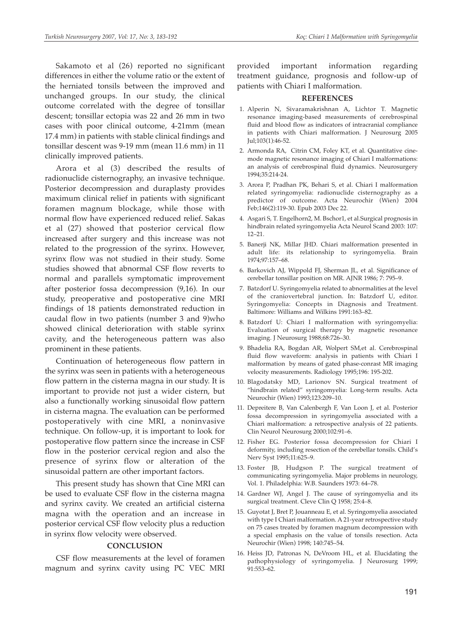Sakamoto et al (26) reported no significant differences in either the volume ratio or the extent of the herniated tonsils between the improved and unchanged groups. In our study, the clinical outcome correlated with the degree of tonsillar descent; tonsillar ectopia was 22 and 26 mm in two cases with poor clinical outcome, 4-21mm (mean 17.4 mm) in patients with stable clinical findings and tonsillar descent was 9-19 mm (mean 11.6 mm) in 11 clinically improved patients.

Arora et al (3) described the results of radionuclide cisternography, an invasive technique. Posterior decompression and duraplasty provides maximum clinical relief in patients with significant foramen magnum blockage, while those with normal flow have experienced reduced relief. Sakas et al (27) showed that posterior cervical flow increased after surgery and this increase was not related to the progression of the syrinx. However, syrinx flow was not studied in their study. Some studies showed that abnormal CSF flow reverts to normal and parallels symptomatic improvement after posterior fossa decompression (9,16). In our study, preoperative and postoperative cine MRI findings of 18 patients demonstrated reduction in caudal flow in two patients (number 3 and 9)who showed clinical deterioration with stable syrinx cavity, and the heterogeneous pattern was also prominent in these patients.

Continuation of heterogeneous flow pattern in the syrinx was seen in patients with a heterogeneous flow pattern in the cisterna magna in our study. It is important to provide not just a wider cistern, but also a functionally working sinusoidal flow pattern in cisterna magna. The evaluation can be performed postoperatively with cine MRI, a noninvasive technique. On follow-up, it is important to look for postoperative flow pattern since the increase in CSF flow in the posterior cervical region and also the presence of syrinx flow or alteration of the sinusoidal pattern are other important factors.

This present study has shown that Cine MRI can be used to evaluate CSF flow in the cisterna magna and syrinx cavity. We created an artificial cisterna magna with the operation and an increase in posterior cervical CSF flow velocity plus a reduction in syrinx flow velocity were observed.

#### **CONCLUSION**

CSF flow measurements at the level of foramen magnum and syrinx cavity using PC VEC MRI provided important information regarding treatment guidance, prognosis and follow-up of patients with Chiari I malformation.

#### **REFERENCES**

- 1. Alperin N, Sivaramakrishnan A, Lichtor T. Magnetic resonance imaging-based measurements of cerebrospinal fluid and blood flow as indicators of intracranial compliance in patients with Chiari malformation. J Neurosurg 2005 Jul;103(1):46-52.
- 2. Armonda RA, Citrin CM, Foley KT, et al. Quantitative cinemode magnetic resonance imaging of Chiari I malformations: an analysis of cerebrospinal fluid dynamics. Neurosurgery 1994;35:214-24.
- 3. Arora P, Pradhan PK, Behari S, et al. Chiari I malformation related syringomyelia: radionuclide cisternography as a predictor of outcome. Acta Neurochir (Wien) 2004 Feb;146(2):119-30. Epub 2003 Dec 22.
- 4. Asgari S, T. Engelhorn2, M. Bschor1, et al.Surgical prognosis in hindbrain related syringomyelia Acta Neurol Scand 2003: 107: 12–21.
- 5. Banerji NK, Millar JHD. Chiari malformation presented in adult life: its relationship to syringomyelia. Brain 1974;97:157–68.
- 6. Barkovich AJ, Wippold FJ, Sherman JL, et al. Significance of cerebellar tonsillar position on MR. AJNR 1986; 7: 795–9.
- 7. Batzdorf U. Syringomyelia related to abnormalities at the level of the craniovertebral junction. In: Batzdorf U, editor. Syringomyelia: Concepts in Diagnosis and Treatment. Baltimore: Williams and Wilkins 1991:163–82.
- 8. Batzdorf U: Chiari I malformation with syringomyelia: Evaluation of surgical therapy by magnetic resonance imaging. J Neurosurg 1988;68:726–30.
- 9. Bhadelia RA, Bogdan AR, Wolpert SM,et al. Cerebrospinal fluid flow waveform: analysis in patients with Chiari I malformation by means of gated phase-conrast MR imaging velocity measurements. Radiology 1995;196: 195-202.
- 10. Blagodatsky MD, Larionov SN. Surgical treatment of "hindbrain related" syringomyelia: Long-term results. Acta Neurochir (Wien) 1993;123:209–10.
- 11. Depreitere B, Van Calenbergh F, Van Loon J, et al. Posterior fossa decompression in syringomyelia associated with a Chiari malformation: a retrospective analysis of 22 patients. Clin Neurol Neurosurg 2000;102:91–6.
- 12. Fisher EG. Posterior fossa decompression for Chiari I deformity, including resection of the cerebellar tonsils. Child's Nerv Syst 1995;11:625–9.
- 13. Foster JB, Hudgson P. The surgical treatment of communicating syringomyelia. Major problems in neurology, Vol. 1. Philadelphia: W.B. Saunders 1973: 64–78.
- 14. Gardner WJ, Angel J. The cause of syringomyelia and its surgical treatment. Cleve Clin Q 1958; 25:4–8.
- 15. Guyotat J, Bret P, Jouanneau E, et al. Syringomyelia associated with type I Chiari malformation. A 21-year retrospective study on 75 cases treated by foramen magnum decompression with a special emphasis on the value of tonsils resection. Acta Neurochir (Wien) 1998; 140:745–54.
- 16. Heiss JD, Patronas N, DeVroom HL, et al. Elucidating the pathophysiology of syringomyelia. J Neurosurg 1999; 91:553–62.